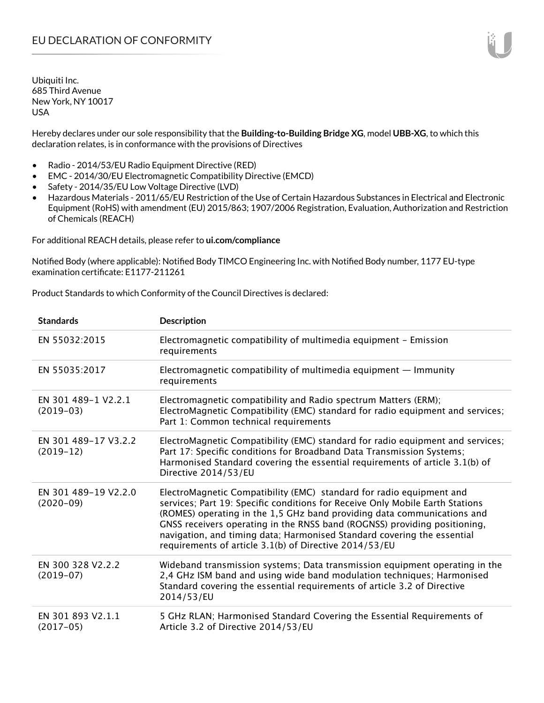Hereby declares under our sole responsibility that the **Building-to-Building Bridge XG**, model **UBB-XG**, to which this declaration relates, is in conformance with the provisions of Directives

- Radio 2014/53/EU Radio Equipment Directive (RED)
- EMC 2014/30/EU Electromagnetic Compatibility Directive (EMCD)
- Safety 2014/35/EU Low Voltage Directive (LVD)
- Hazardous Materials 2011/65/EU Restriction of the Use of Certain Hazardous Substances in Electrical and Electronic Equipment (RoHS) with amendment (EU) 2015/863; 1907/2006 Registration, Evaluation, Authorization and Restriction of Chemicals (REACH)

For additional REACH details, please refer to **ui.com/compliance**

Notified Body (where applicable): Notified Body TIMCO Engineering Inc. with Notified Body number, 1177 EU-type examination certificate: E1177-211261

Product Standards to which Conformity of the Council Directives is declared:

| <b>Standards</b>                    | <b>Description</b>                                                                                                                                                                                                                                                                                                                                                                                                                                 |
|-------------------------------------|----------------------------------------------------------------------------------------------------------------------------------------------------------------------------------------------------------------------------------------------------------------------------------------------------------------------------------------------------------------------------------------------------------------------------------------------------|
| EN 55032:2015                       | Electromagnetic compatibility of multimedia equipment - Emission<br>requirements                                                                                                                                                                                                                                                                                                                                                                   |
| EN 55035:2017                       | Electromagnetic compatibility of multimedia equipment $-$ Immunity<br>requirements                                                                                                                                                                                                                                                                                                                                                                 |
| EN 301 489-1 V2.2.1<br>$(2019-03)$  | Electromagnetic compatibility and Radio spectrum Matters (ERM);<br>ElectroMagnetic Compatibility (EMC) standard for radio equipment and services;<br>Part 1: Common technical requirements                                                                                                                                                                                                                                                         |
| EN 301 489-17 V3.2.2<br>$(2019-12)$ | ElectroMagnetic Compatibility (EMC) standard for radio equipment and services;<br>Part 17: Specific conditions for Broadband Data Transmission Systems;<br>Harmonised Standard covering the essential requirements of article 3.1(b) of<br>Directive 2014/53/EU                                                                                                                                                                                    |
| EN 301 489-19 V2.2.0<br>$(2020-09)$ | ElectroMagnetic Compatibility (EMC) standard for radio equipment and<br>services; Part 19: Specific conditions for Receive Only Mobile Earth Stations<br>(ROMES) operating in the 1,5 GHz band providing data communications and<br>GNSS receivers operating in the RNSS band (ROGNSS) providing positioning,<br>navigation, and timing data; Harmonised Standard covering the essential<br>requirements of article 3.1(b) of Directive 2014/53/EU |
| EN 300 328 V2.2.2<br>$(2019-07)$    | Wideband transmission systems; Data transmission equipment operating in the<br>2,4 GHz ISM band and using wide band modulation techniques; Harmonised<br>Standard covering the essential requirements of article 3.2 of Directive<br>2014/53/EU                                                                                                                                                                                                    |
| EN 301 893 V2.1.1<br>$(2017-05)$    | 5 GHz RLAN; Harmonised Standard Covering the Essential Requirements of<br>Article 3.2 of Directive 2014/53/EU                                                                                                                                                                                                                                                                                                                                      |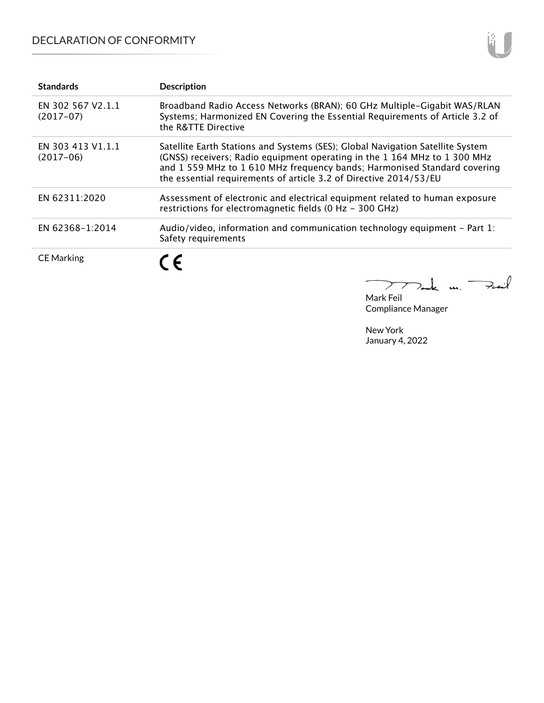# DECLARATION OF CONFORMITY

| <b>Standards</b>                 | <b>Description</b>                                                                                                                                                                                                                                                                                           |
|----------------------------------|--------------------------------------------------------------------------------------------------------------------------------------------------------------------------------------------------------------------------------------------------------------------------------------------------------------|
| EN 302 567 V2.1.1<br>$(2017-07)$ | Broadband Radio Access Networks (BRAN); 60 GHz Multiple-Gigabit WAS/RLAN<br>Systems; Harmonized EN Covering the Essential Requirements of Article 3.2 of<br>the R&TTE Directive                                                                                                                              |
| EN 303 413 V1.1.1<br>$(2017-06)$ | Satellite Earth Stations and Systems (SES); Global Navigation Satellite System<br>(GNSS) receivers; Radio equipment operating in the 1 164 MHz to 1 300 MHz<br>and 1 559 MHz to 1 610 MHz frequency bands; Harmonised Standard covering<br>the essential requirements of article 3.2 of Directive 2014/53/EU |
| EN 62311:2020                    | Assessment of electronic and electrical equipment related to human exposure<br>restrictions for electromagnetic fields (0 Hz - 300 GHz)                                                                                                                                                                      |
| EN 62368-1:2014                  | Audio/video, information and communication technology equipment $-$ Part 1:<br>Safety requirements                                                                                                                                                                                                           |
| <b>CE Marking</b>                | ( F                                                                                                                                                                                                                                                                                                          |

 $\sum$ Feit  $k$  m.

Mark Feil Compliance Manager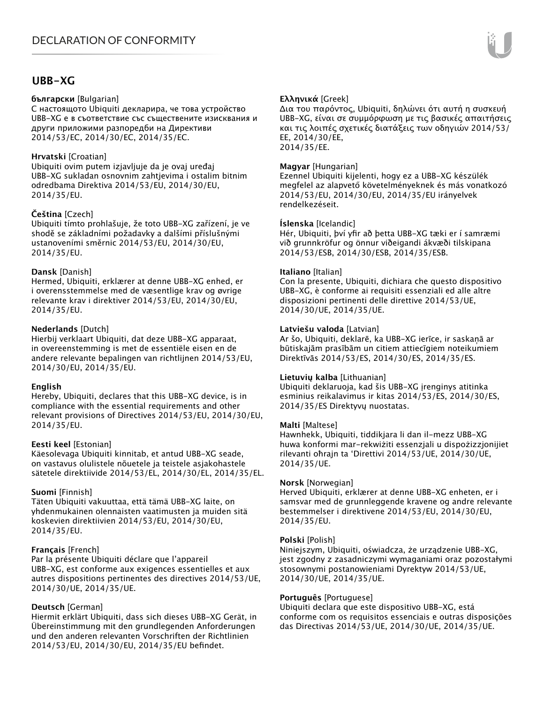## **UBB-XG**

### **български** [Bulgarian]

С настоящото Ubiquiti декларира, че това устройство UBB-XG е в съответствие със съществените изисквания и други приложими разпоредби на Директиви 2014/53/EC, 2014/30/ЕС, 2014/35/ЕС.

## **Hrvatski** [Croatian]

Ubiquiti ovim putem izjavljuje da je ovaj uređaj UBB-XG sukladan osnovnim zahtjevima i ostalim bitnim odredbama Direktiva 2014/53/EU, 2014/30/EU, 2014/35/EU.

## **Čeština** [Czech]

Ubiquiti tímto prohlašuje, že toto UBB-XG zařízení, je ve shodě se základními požadavky a dalšími příslušnými ustanoveními směrnic 2014/53/EU, 2014/30/EU, 2014/35/EU.

## **Dansk** [Danish]

Hermed, Ubiquiti, erklærer at denne UBB-XG enhed, er i overensstemmelse med de væsentlige krav og øvrige relevante krav i direktiver 2014/53/EU, 2014/30/EU, 2014/35/EU.

## **Nederlands** [Dutch]

Hierbij verklaart Ubiquiti, dat deze UBB-XG apparaat, in overeenstemming is met de essentiële eisen en de andere relevante bepalingen van richtlijnen 2014/53/EU, 2014/30/EU, 2014/35/EU.

## **English**

Hereby, Ubiquiti, declares that this UBB-XG device, is in compliance with the essential requirements and other relevant provisions of Directives 2014/53/EU, 2014/30/EU, 2014/35/EU.

## **Eesti keel** [Estonian]

Käesolevaga Ubiquiti kinnitab, et antud UBB-XG seade, on vastavus olulistele nõuetele ja teistele asjakohastele sätetele direktiivide 2014/53/EL, 2014/30/EL, 2014/35/EL.

## **Suomi** [Finnish]

Täten Ubiquiti vakuuttaa, että tämä UBB-XG laite, on yhdenmukainen olennaisten vaatimusten ja muiden sitä koskevien direktiivien 2014/53/EU, 2014/30/EU, 2014/35/EU.

## **Français** [French]

Par la présente Ubiquiti déclare que l'appareil UBB-XG, est conforme aux exigences essentielles et aux autres dispositions pertinentes des directives 2014/53/UE, 2014/30/UE, 2014/35/UE.

## **Deutsch** [German]

Hiermit erklärt Ubiquiti, dass sich dieses UBB-XG Gerät, in Übereinstimmung mit den grundlegenden Anforderungen und den anderen relevanten Vorschriften der Richtlinien 2014/53/EU, 2014/30/EU, 2014/35/EU befindet.

## **Ελληνικά** [Greek]

Δια του παρόντος, Ubiquiti, δηλώνει ότι αυτή η συσκευή UBB-XG, είναι σε συμμόρφωση με τις βασικές απαιτήσεις και τις λοιπές σχετικές διατάξεις των οδηγιών 2014/53/ EE, 2014/30/EE, 2014/35/EE.

## **Magyar** [Hungarian]

Ezennel Ubiquiti kijelenti, hogy ez a UBB-XG készülék megfelel az alapvető követelményeknek és más vonatkozó 2014/53/EU, 2014/30/EU, 2014/35/EU irányelvek rendelkezéseit.

## **Íslenska** [Icelandic]

Hér, Ubiquiti, því yfir að þetta UBB-XG tæki er í samræmi við grunnkröfur og önnur viðeigandi ákvæði tilskipana 2014/53/ESB, 2014/30/ESB, 2014/35/ESB.

## **Italiano** [Italian]

Con la presente, Ubiquiti, dichiara che questo dispositivo UBB-XG, è conforme ai requisiti essenziali ed alle altre disposizioni pertinenti delle direttive 2014/53/UE, 2014/30/UE, 2014/35/UE.

## **Latviešu valoda** [Latvian]

Ar šo, Ubiquiti, deklarē, ka UBB-XG ierīce, ir saskaņā ar būtiskajām prasībām un citiem attiecīgiem noteikumiem Direktīvās 2014/53/ES, 2014/30/ES, 2014/35/ES.

## **Lietuvių kalba** [Lithuanian]

Ubiquiti deklaruoja, kad šis UBB-XG įrenginys atitinka esminius reikalavimus ir kitas 2014/53/ES, 2014/30/ES, 2014/35/ES Direktyvų nuostatas.

## **Malti** [Maltese]

Hawnhekk, Ubiquiti, tiddikjara li dan il-mezz UBB-XG huwa konformi mar-rekwiżiti essenzjali u dispożizzjonijiet rilevanti oħrajn ta 'Direttivi 2014/53/UE, 2014/30/UE, 2014/35/UE.

## **Norsk** [Norwegian]

Herved Ubiquiti, erklærer at denne UBB-XG enheten, er i samsvar med de grunnleggende kravene og andre relevante bestemmelser i direktivene 2014/53/EU, 2014/30/EU, 2014/35/EU.

## **Polski** [Polish]

Niniejszym, Ubiquiti, oświadcza, że urządzenie UBB-XG, jest zgodny z zasadniczymi wymaganiami oraz pozostałymi stosownymi postanowieniami Dyrektyw 2014/53/UE, 2014/30/UE, 2014/35/UE.

## **Português** [Portuguese]

Ubiquiti declara que este dispositivo UBB-XG, está conforme com os requisitos essenciais e outras disposições das Directivas 2014/53/UE, 2014/30/UE, 2014/35/UE.

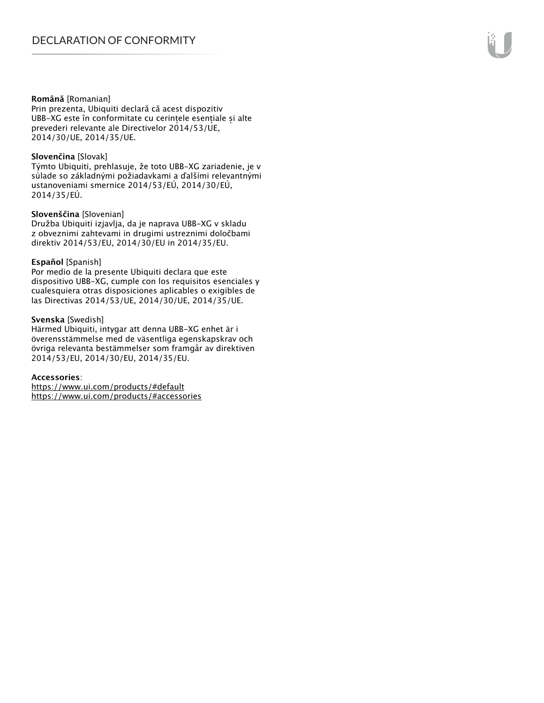#### **Română** [Romanian]

Prin prezenta, Ubiquiti declară că acest dispozitiv UBB-XG este în conformitate cu cerințele esențiale și alte prevederi relevante ale Directivelor 2014/53/UE, 2014/30/UE, 2014/35/UE.

#### **Slovenčina** [Slovak]

Týmto Ubiquiti, prehlasuje, že toto UBB-XG zariadenie, je v súlade so základnými požiadavkami a ďalšími relevantnými ustanoveniami smernice 2014/53/EÚ, 2014/30/EÚ, 2014/35/EÚ.

#### **Slovenščina** [Slovenian]

Družba Ubiquiti izjavlja, da je naprava UBB-XG v skladu z obveznimi zahtevami in drugimi ustreznimi določbami direktiv 2014/53/EU, 2014/30/EU in 2014/35/EU.

#### **Español** [Spanish]

Por medio de la presente Ubiquiti declara que este dispositivo UBB-XG, cumple con los requisitos esenciales y cualesquiera otras disposiciones aplicables o exigibles de las Directivas 2014/53/UE, 2014/30/UE, 2014/35/UE.

#### **Svenska** [Swedish]

Härmed Ubiquiti, intygar att denna UBB-XG enhet är i överensstämmelse med de väsentliga egenskapskrav och övriga relevanta bestämmelser som framgår av direktiven 2014/53/EU, 2014/30/EU, 2014/35/EU.

#### **Accessories**:

https://www.ui.com/products/#default https://www.ui.com/products/#accessories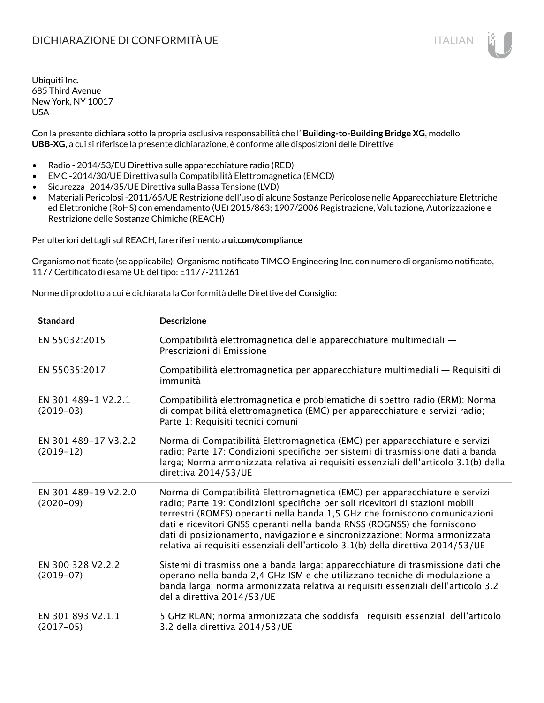# DICHIARAZIONE DI CONFORMITÀ UE ITALIAN ITALIAN

Ubiquiti Inc. 685 Third Avenue New York, NY 10017 USA

Con la presente dichiara sotto la propria esclusiva responsabilità che l' **Building-to-Building Bridge XG**, modello **UBB-XG**, a cui si riferisce la presente dichiarazione, è conforme alle disposizioni delle Direttive

- Radio 2014/53/EU Direttiva sulle apparecchiature radio (RED)
- EMC -2014/30/UE Direttiva sulla Compatibilità Elettromagnetica (EMCD)
- Sicurezza -2014/35/UE Direttiva sulla Bassa Tensione (LVD)
- Materiali Pericolosi -2011/65/UE Restrizione dell'uso di alcune Sostanze Pericolose nelle Apparecchiature Elettriche ed Elettroniche (RoHS) con emendamento (UE) 2015/863; 1907/2006 Registrazione, Valutazione, Autorizzazione e Restrizione delle Sostanze Chimiche (REACH)

Per ulteriori dettagli sul REACH, fare riferimento a **ui.com/compliance**

Organismo notificato (se applicabile): Organismo notificato TIMCO Engineering Inc. con numero di organismo notificato, 1177 Certificato di esame UE del tipo: E1177-211261

Norme di prodotto a cui è dichiarata la Conformità delle Direttive del Consiglio:

| <b>Standard</b>                     | <b>Descrizione</b>                                                                                                                                                                                                                                                                                                                                                                                                                                                                       |
|-------------------------------------|------------------------------------------------------------------------------------------------------------------------------------------------------------------------------------------------------------------------------------------------------------------------------------------------------------------------------------------------------------------------------------------------------------------------------------------------------------------------------------------|
| EN 55032:2015                       | Compatibilità elettromagnetica delle apparecchiature multimediali -<br>Prescrizioni di Emissione                                                                                                                                                                                                                                                                                                                                                                                         |
| EN 55035:2017                       | Compatibilità elettromagnetica per apparecchiature multimediali — Requisiti di<br>immunità                                                                                                                                                                                                                                                                                                                                                                                               |
| EN 301 489-1 V2.2.1<br>$(2019-03)$  | Compatibilità elettromagnetica e problematiche di spettro radio (ERM); Norma<br>di compatibilità elettromagnetica (EMC) per apparecchiature e servizi radio;<br>Parte 1: Requisiti tecnici comuni                                                                                                                                                                                                                                                                                        |
| EN 301 489-17 V3.2.2<br>$(2019-12)$ | Norma di Compatibilità Elettromagnetica (EMC) per apparecchiature e servizi<br>radio; Parte 17: Condizioni specifiche per sistemi di trasmissione dati a banda<br>larga; Norma armonizzata relativa ai requisiti essenziali dell'articolo 3.1(b) della<br>direttiva 2014/53/UE                                                                                                                                                                                                           |
| EN 301 489-19 V2.2.0<br>$(2020-09)$ | Norma di Compatibilità Elettromagnetica (EMC) per apparecchiature e servizi<br>radio; Parte 19: Condizioni specifiche per soli ricevitori di stazioni mobili<br>terrestri (ROMES) operanti nella banda 1,5 GHz che forniscono comunicazioni<br>dati e ricevitori GNSS operanti nella banda RNSS (ROGNSS) che forniscono<br>dati di posizionamento, navigazione e sincronizzazione; Norma armonizzata<br>relativa ai requisiti essenziali dell'articolo 3.1(b) della direttiva 2014/53/UE |
| EN 300 328 V2.2.2<br>$(2019-07)$    | Sistemi di trasmissione a banda larga; apparecchiature di trasmissione dati che<br>operano nella banda 2,4 GHz ISM e che utilizzano tecniche di modulazione a<br>banda larga; norma armonizzata relativa ai requisiti essenziali dell'articolo 3.2<br>della direttiva 2014/53/UE                                                                                                                                                                                                         |
| EN 301 893 V2.1.1<br>$(2017-05)$    | 5 GHz RLAN; norma armonizzata che soddisfa i requisiti essenziali dell'articolo<br>3.2 della direttiva 2014/53/UE                                                                                                                                                                                                                                                                                                                                                                        |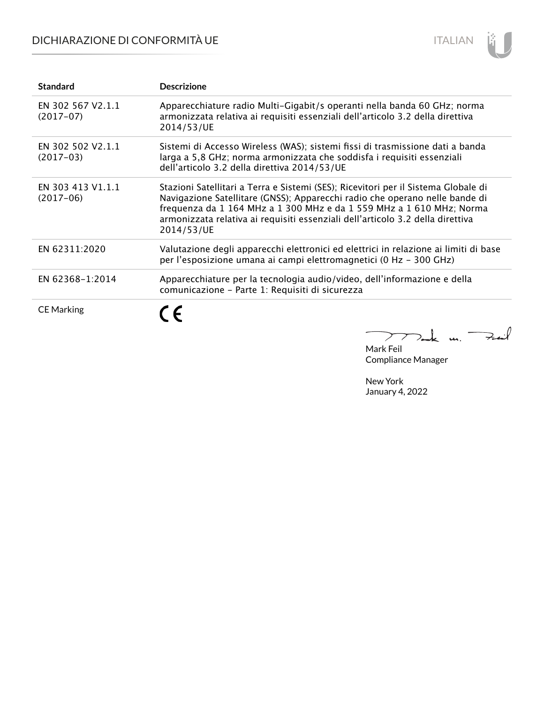# DICHIARAZIONE DI CONFORMITÀ UE



| <b>Standard</b>                  | <b>Descrizione</b>                                                                                                                                                                                                                                                                                                                        |
|----------------------------------|-------------------------------------------------------------------------------------------------------------------------------------------------------------------------------------------------------------------------------------------------------------------------------------------------------------------------------------------|
| EN 302 567 V2.1.1<br>$(2017-07)$ | Apparecchiature radio Multi-Gigabit/s operanti nella banda 60 GHz; norma<br>armonizzata relativa ai requisiti essenziali dell'articolo 3.2 della direttiva<br>2014/53/UE                                                                                                                                                                  |
| EN 302 502 V2.1.1<br>$(2017-03)$ | Sistemi di Accesso Wireless (WAS); sistemi fissi di trasmissione dati a banda<br>larga a 5,8 GHz; norma armonizzata che soddisfa i requisiti essenziali<br>dell'articolo 3.2 della direttiva 2014/53/UE                                                                                                                                   |
| EN 303 413 V1.1.1<br>$(2017-06)$ | Stazioni Satellitari a Terra e Sistemi (SES); Ricevitori per il Sistema Globale di<br>Navigazione Satellitare (GNSS); Apparecchi radio che operano nelle bande di<br>frequenza da 1 164 MHz a 1 300 MHz e da 1 559 MHz a 1 610 MHz; Norma<br>armonizzata relativa ai requisiti essenziali dell'articolo 3.2 della direttiva<br>2014/53/UE |
| EN 62311:2020                    | Valutazione degli apparecchi elettronici ed elettrici in relazione ai limiti di base<br>per l'esposizione umana ai campi elettromagnetici (0 Hz - 300 GHz)                                                                                                                                                                                |
| EN 62368-1:2014                  | Apparecchiature per la tecnologia audio/video, dell'informazione e della<br>comunicazione - Parte 1: Requisiti di sicurezza                                                                                                                                                                                                               |
| <b>CE Marking</b>                | E                                                                                                                                                                                                                                                                                                                                         |

mak m. Fail  $\overline{\phantom{m}}$ Mark Feil

Compliance Manager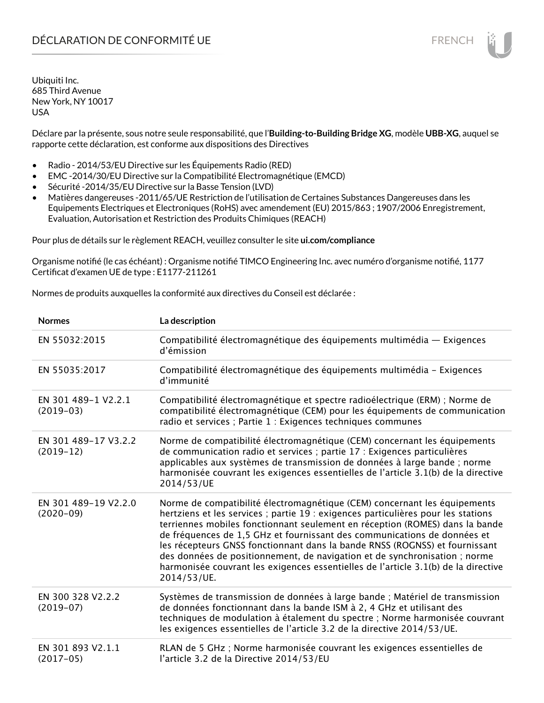Déclare par la présente, sous notre seule responsabilité, que l'**Building-to-Building Bridge XG**, modèle **UBB-XG**, auquel se rapporte cette déclaration, est conforme aux dispositions des Directives

- Radio 2014/53/EU Directive sur les Équipements Radio (RED)
- EMC -2014/30/EU Directive sur la Compatibilité Electromagnétique (EMCD)
- Sécurité -2014/35/EU Directive sur la Basse Tension (LVD)
- Matières dangereuses -2011/65/UE Restriction de l'utilisation de Certaines Substances Dangereuses dans les Equipements Electriques et Electroniques (RoHS) avec amendement (EU) 2015/863 ; 1907/2006 Enregistrement, Evaluation, Autorisation et Restriction des Produits Chimiques (REACH)

Pour plus de détails sur le règlement REACH, veuillez consulter le site **ui.com/compliance**

Organisme notifié (le cas échéant) : Organisme notifié TIMCO Engineering Inc. avec numéro d'organisme notifié, 1177 Certificat d'examen UE de type : E1177-211261

Normes de produits auxquelles la conformité aux directives du Conseil est déclarée :

| <b>Normes</b>                       | La description                                                                                                                                                                                                                                                                                                                                                                                                                                                                                                                                                                               |
|-------------------------------------|----------------------------------------------------------------------------------------------------------------------------------------------------------------------------------------------------------------------------------------------------------------------------------------------------------------------------------------------------------------------------------------------------------------------------------------------------------------------------------------------------------------------------------------------------------------------------------------------|
| EN 55032:2015                       | Compatibilité électromagnétique des équipements multimédia — Exigences<br>d'émission                                                                                                                                                                                                                                                                                                                                                                                                                                                                                                         |
| EN 55035:2017                       | Compatibilité électromagnétique des équipements multimédia - Exigences<br>d'immunité                                                                                                                                                                                                                                                                                                                                                                                                                                                                                                         |
| EN 301 489-1 V2.2.1<br>$(2019-03)$  | Compatibilité électromagnétique et spectre radioélectrique (ERM) ; Norme de<br>compatibilité électromagnétique (CEM) pour les équipements de communication<br>radio et services ; Partie 1 : Exigences techniques communes                                                                                                                                                                                                                                                                                                                                                                   |
| EN 301 489-17 V3.2.2<br>$(2019-12)$ | Norme de compatibilité électromagnétique (CEM) concernant les équipements<br>de communication radio et services ; partie 17 : Exigences particulières<br>applicables aux systèmes de transmission de données à large bande ; norme<br>harmonisée couvrant les exigences essentielles de l'article 3.1(b) de la directive<br>2014/53/UE                                                                                                                                                                                                                                                       |
| EN 301 489-19 V2.2.0<br>$(2020-09)$ | Norme de compatibilité électromagnétique (CEM) concernant les équipements<br>hertziens et les services ; partie 19 : exigences particulières pour les stations<br>terriennes mobiles fonctionnant seulement en réception (ROMES) dans la bande<br>de fréquences de 1,5 GHz et fournissant des communications de données et<br>les récepteurs GNSS fonctionnant dans la bande RNSS (ROGNSS) et fournissant<br>des données de positionnement, de navigation et de synchronisation ; norme<br>harmonisée couvrant les exigences essentielles de l'article 3.1(b) de la directive<br>2014/53/UE. |
| EN 300 328 V2.2.2<br>$(2019-07)$    | Systèmes de transmission de données à large bande ; Matériel de transmission<br>de données fonctionnant dans la bande ISM à 2, 4 GHz et utilisant des<br>techniques de modulation à étalement du spectre ; Norme harmonisée couvrant<br>les exigences essentielles de l'article 3.2 de la directive 2014/53/UE.                                                                                                                                                                                                                                                                              |
| EN 301 893 V2.1.1<br>$(2017-05)$    | RLAN de 5 GHz ; Norme harmonisée couvrant les exigences essentielles de<br>l'article 3.2 de la Directive 2014/53/EU                                                                                                                                                                                                                                                                                                                                                                                                                                                                          |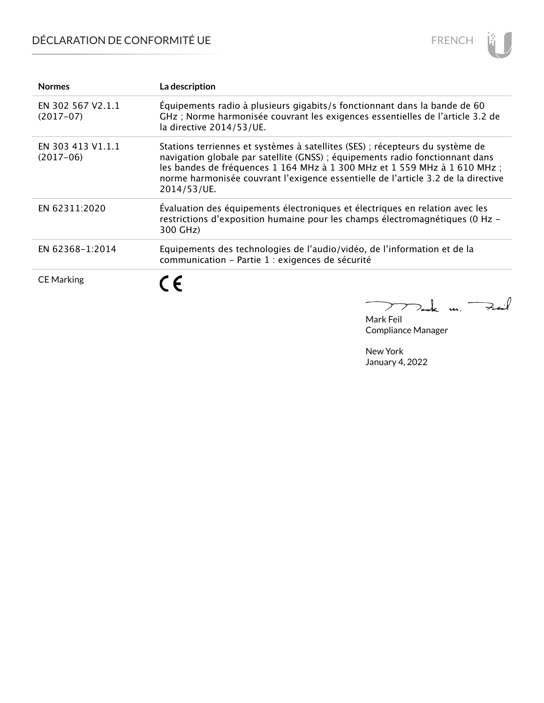# DÉCLARATION DE CONFORMITÉ UE



| <b>Normes</b>                    | La description                                                                                                                                                                                                                                                                                                                                  |
|----------------------------------|-------------------------------------------------------------------------------------------------------------------------------------------------------------------------------------------------------------------------------------------------------------------------------------------------------------------------------------------------|
| EN 302 567 V2.1.1<br>$(2017-07)$ | Équipements radio à plusieurs gigabits/s fonctionnant dans la bande de 60<br>GHz ; Norme harmonisée couvrant les exigences essentielles de l'article 3.2 de<br>la directive 2014/53/UE.                                                                                                                                                         |
| EN 303 413 V1.1.1<br>$(2017-06)$ | Stations terriennes et systèmes à satellites (SES) ; récepteurs du système de<br>navigation globale par satellite (GNSS) ; équipements radio fonctionnant dans<br>les bandes de fréquences 1 164 MHz à 1 300 MHz et 1 559 MHz à 1 610 MHz ;<br>norme harmonisée couvrant l'exigence essentielle de l'article 3.2 de la directive<br>2014/53/UE. |
| EN 62311:2020                    | Évaluation des équipements électroniques et électriques en relation avec les<br>restrictions d'exposition humaine pour les champs électromagnétiques (0 Hz -<br>300 GHz)                                                                                                                                                                        |
| EN 62368-1:2014                  | Equipements des technologies de l'audio/vidéo, de l'information et de la<br>communication - Partie 1 : exigences de sécurité                                                                                                                                                                                                                    |
| <b>CE Marking</b>                | $\epsilon$                                                                                                                                                                                                                                                                                                                                      |

 $772$ ak m. Fail

Mark Feil Compliance Manager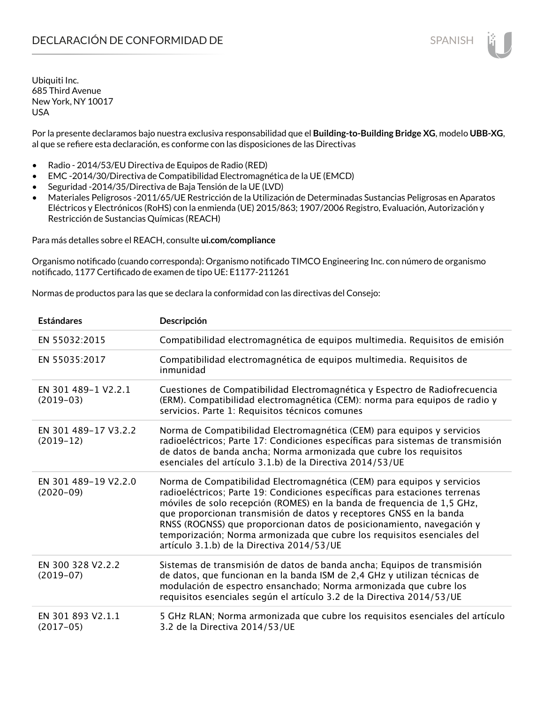Por la presente declaramos bajo nuestra exclusiva responsabilidad que el **Building-to-Building Bridge XG**, modelo **UBB-XG**, al que se refiere esta declaración, es conforme con las disposiciones de las Directivas

- Radio 2014/53/EU Directiva de Equipos de Radio (RED)
- EMC -2014/30/Directiva de Compatibilidad Electromagnética de la UE (EMCD)
- Seguridad -2014/35/Directiva de Baja Tensión de la UE (LVD)
- Materiales Peligrosos -2011/65/UE Restricción de la Utilización de Determinadas Sustancias Peligrosas en Aparatos Eléctricos y Electrónicos (RoHS) con la enmienda (UE) 2015/863; 1907/2006 Registro, Evaluación, Autorización y Restricción de Sustancias Químicas (REACH)

Para más detalles sobre el REACH, consulte **ui.com/compliance**

Organismo notificado (cuando corresponda): Organismo notificado TIMCO Engineering Inc. con número de organismo notificado, 1177 Certificado de examen de tipo UE: E1177-211261

Normas de productos para las que se declara la conformidad con las directivas del Consejo:

| <b>Estándares</b>                   | Descripción                                                                                                                                                                                                                                                                                                                                                                                                                                                                                                |
|-------------------------------------|------------------------------------------------------------------------------------------------------------------------------------------------------------------------------------------------------------------------------------------------------------------------------------------------------------------------------------------------------------------------------------------------------------------------------------------------------------------------------------------------------------|
| EN 55032:2015                       | Compatibilidad electromagnética de equipos multimedia. Requisitos de emisión                                                                                                                                                                                                                                                                                                                                                                                                                               |
| EN 55035:2017                       | Compatibilidad electromagnética de equipos multimedia. Requisitos de<br>inmunidad                                                                                                                                                                                                                                                                                                                                                                                                                          |
| EN 301 489-1 V2.2.1<br>$(2019-03)$  | Cuestiones de Compatibilidad Electromagnética y Espectro de Radiofrecuencia<br>(ERM). Compatibilidad electromagnética (CEM): norma para equipos de radio y<br>servicios. Parte 1: Requisitos técnicos comunes                                                                                                                                                                                                                                                                                              |
| EN 301 489-17 V3.2.2<br>$(2019-12)$ | Norma de Compatibilidad Electromagnética (CEM) para equipos y servicios<br>radioeléctricos; Parte 17: Condiciones específicas para sistemas de transmisión<br>de datos de banda ancha; Norma armonizada que cubre los requisitos<br>esenciales del artículo 3.1.b) de la Directiva 2014/53/UE                                                                                                                                                                                                              |
| EN 301 489-19 V2.2.0<br>$(2020-09)$ | Norma de Compatibilidad Electromagnética (CEM) para equipos y servicios<br>radioeléctricos; Parte 19: Condiciones específicas para estaciones terrenas<br>móviles de solo recepción (ROMES) en la banda de frequencia de 1,5 GHz,<br>que proporcionan transmisión de datos y receptores GNSS en la banda<br>RNSS (ROGNSS) que proporcionan datos de posicionamiento, navegación y<br>temporización; Norma armonizada que cubre los requisitos esenciales del<br>artículo 3.1.b) de la Directiva 2014/53/UE |
| EN 300 328 V2.2.2<br>$(2019-07)$    | Sistemas de transmisión de datos de banda ancha; Equipos de transmisión<br>de datos, que funcionan en la banda ISM de 2,4 GHz y utilizan técnicas de<br>modulación de espectro ensanchado; Norma armonizada que cubre los<br>requisitos esenciales según el artículo 3.2 de la Directiva 2014/53/UE                                                                                                                                                                                                        |
| EN 301 893 V2.1.1<br>$(2017-05)$    | 5 GHz RLAN; Norma armonizada que cubre los requisitos esenciales del artículo<br>3.2 de la Directiva 2014/53/UE                                                                                                                                                                                                                                                                                                                                                                                            |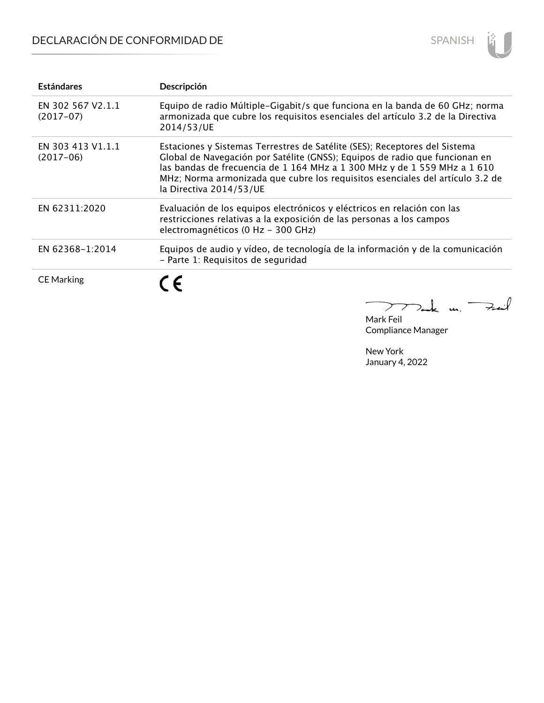# DECLARACIÓN DE CONFORMIDAD DE



| <b>Estándares</b>                | Descripción                                                                                                                                                                                                                                                                                                                                       |
|----------------------------------|---------------------------------------------------------------------------------------------------------------------------------------------------------------------------------------------------------------------------------------------------------------------------------------------------------------------------------------------------|
| EN 302 567 V2.1.1<br>$(2017-07)$ | Equipo de radio Múltiple-Gigabit/s que funciona en la banda de 60 GHz; norma<br>armonizada que cubre los requisitos esenciales del artículo 3.2 de la Directiva<br>2014/53/UE                                                                                                                                                                     |
| EN 303 413 V1.1.1<br>$(2017-06)$ | Estaciones y Sistemas Terrestres de Satélite (SES); Receptores del Sistema<br>Global de Navegación por Satélite (GNSS); Equipos de radio que funcionan en<br>las bandas de frecuencia de 1 164 MHz a 1 300 MHz y de 1 559 MHz a 1 610<br>MHz; Norma armonizada que cubre los requisitos esenciales del artículo 3.2 de<br>la Directiva 2014/53/UE |
| EN 62311:2020                    | Evaluación de los equipos electrónicos y eléctricos en relación con las<br>restricciones relativas a la exposición de las personas a los campos<br>electromagnéticos (0 Hz - 300 GHz)                                                                                                                                                             |
| EN 62368-1:2014                  | Equipos de audio y vídeo, de tecnología de la información y de la comunicación<br>- Parte 1: Requisitos de seguridad                                                                                                                                                                                                                              |
| <b>CE Marking</b>                | $\epsilon$                                                                                                                                                                                                                                                                                                                                        |

 $772$ ak m. Fail

Mark Feil Compliance Manager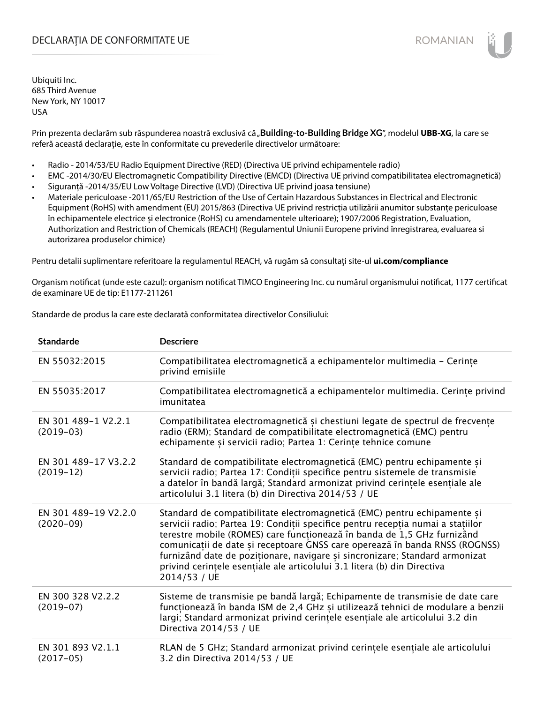## DECLARAȚIA DE CONFORMITATE UE EXECUTE DE ROMANIAN

Ubiquiti Inc. 685 Third Avenue New York, NY 10017 USA

Prin prezenta declarăm sub răspunderea noastră exclusivă că "**Building-to-Building Bridge XG**", modelul **UBB-XG**, la care se referă această declarație, este în conformitate cu prevederile directivelor următoare:

- Radio 2014/53/EU Radio Equipment Directive (RED) (Directiva UE privind echipamentele radio)
- EMC -2014/30/EU Electromagnetic Compatibility Directive (EMCD) (Directiva UE privind compatibilitatea electromagnetică)
- Siguranță -2014/35/EU Low Voltage Directive (LVD) (Directiva UE privind joasa tensiune)
- Materiale periculoase -2011/65/EU Restriction of the Use of Certain Hazardous Substances in Electrical and Electronic Equipment (RoHS) with amendment (EU) 2015/863 (Directiva UE privind restricția utilizării anumitor substanțe periculoase în echipamentele electrice și electronice (RoHS) cu amendamentele ulterioare); 1907/2006 Registration, Evaluation, Authorization and Restriction of Chemicals (REACH) (Regulamentul Uniunii Europene privind înregistrarea, evaluarea si autorizarea produselor chimice)

Pentru detalii suplimentare referitoare la regulamentul REACH, vă rugăm să consultați site-ul **ui.com/compliance**

Organism notificat (unde este cazul): organism notificat TIMCO Engineering Inc. cu numărul organismului notificat, 1177 certificat de examinare UE de tip: E1177-211261

Standarde de produs la care este declarată conformitatea directivelor Consiliului:

| <b>Standarde</b>                    | <b>Descriere</b>                                                                                                                                                                                                                                                                                                                                                                                                                                                                                 |
|-------------------------------------|--------------------------------------------------------------------------------------------------------------------------------------------------------------------------------------------------------------------------------------------------------------------------------------------------------------------------------------------------------------------------------------------------------------------------------------------------------------------------------------------------|
| EN 55032:2015                       | Compatibilitatea electromagnetică a echipamentelor multimedia - Cerințe<br>privind emisiile                                                                                                                                                                                                                                                                                                                                                                                                      |
| EN 55035:2017                       | Compatibilitatea electromagnetică a echipamentelor multimedia. Cerințe privind<br>imunitatea                                                                                                                                                                                                                                                                                                                                                                                                     |
| EN 301 489-1 V2.2.1<br>$(2019-03)$  | Compatibilitatea electromagnetică și chestiuni legate de spectrul de frecvențe<br>radio (ERM); Standard de compatibilitate electromagnetică (EMC) pentru<br>echipamente și servicii radio; Partea 1: Cerințe tehnice comune                                                                                                                                                                                                                                                                      |
| EN 301 489-17 V3.2.2<br>$(2019-12)$ | Standard de compatibilitate electromagnetică (EMC) pentru echipamente și<br>servicii radio; Partea 17: Condiții specifice pentru sistemele de transmisie<br>a datelor în bandă largă; Standard armonizat privind cerințele esențiale ale<br>articolului 3.1 litera (b) din Directiva 2014/53 / UE                                                                                                                                                                                                |
| EN 301 489-19 V2.2.0<br>$(2020-09)$ | Standard de compatibilitate electromagnetică (EMC) pentru echipamente și<br>servicii radio; Partea 19: Condiții specifice pentru recepția numai a stațiilor<br>terestre mobile (ROMES) care funcționează în banda de 1,5 GHz furnizând<br>comunicații de date și receptoare GNSS care operează în banda RNSS (ROGNSS)<br>furnizând date de poziționare, navigare și sincronizare; Standard armonizat<br>privind cerintele esentiale ale articolului 3.1 litera (b) din Directiva<br>2014/53 / UE |
| EN 300 328 V2.2.2<br>$(2019-07)$    | Sisteme de transmisie pe bandă largă; Echipamente de transmisie de date care<br>funcționează în banda ISM de 2,4 GHz și utilizează tehnici de modulare a benzii<br>largi; Standard armonizat privind cerințele esențiale ale articolului 3.2 din<br>Directiva 2014/53 / UE                                                                                                                                                                                                                       |
| EN 301 893 V2.1.1<br>$(2017-05)$    | RLAN de 5 GHz; Standard armonizat privind cerințele esențiale ale articolului<br>3.2 din Directiva 2014/53 / UE                                                                                                                                                                                                                                                                                                                                                                                  |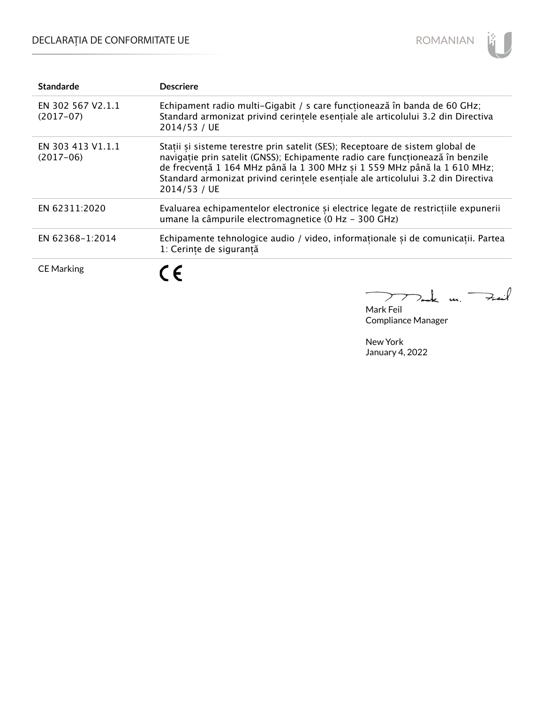# DECLARAȚIA DE CONFORMITATE UE



| <b>Standarde</b>                 | <b>Descriere</b>                                                                                                                                                                                                                                                                                                                               |
|----------------------------------|------------------------------------------------------------------------------------------------------------------------------------------------------------------------------------------------------------------------------------------------------------------------------------------------------------------------------------------------|
| EN 302 567 V2.1.1<br>$(2017-07)$ | Echipament radio multi-Gigabit / s care funcționează în banda de 60 GHz;<br>Standard armonizat privind cerințele esențiale ale articolului 3.2 din Directiva<br>2014/53 / UE                                                                                                                                                                   |
| EN 303 413 V1.1.1<br>$(2017-06)$ | Stații și sisteme terestre prin satelit (SES); Receptoare de sistem global de<br>navigație prin satelit (GNSS); Echipamente radio care funcționează în benzile<br>de frecventă 1 164 MHz până la 1 300 MHz și 1 559 MHz până la 1 610 MHz;<br>Standard armonizat privind cerintele esențiale ale articolului 3.2 din Directiva<br>2014/53 / UE |
| EN 62311:2020                    | Evaluarea echipamentelor electronice și electrice legate de restricțiile expunerii<br>umane la câmpurile electromagnetice (0 Hz - 300 GHz)                                                                                                                                                                                                     |
| EN 62368-1:2014                  | Echipamente tehnologice audio / video, informaționale și de comunicații. Partea<br>1: Cerinte de sigurantă                                                                                                                                                                                                                                     |
| <b>CE Marking</b>                | CE.                                                                                                                                                                                                                                                                                                                                            |

Mak m. Feat

Mark Feil Compliance Manager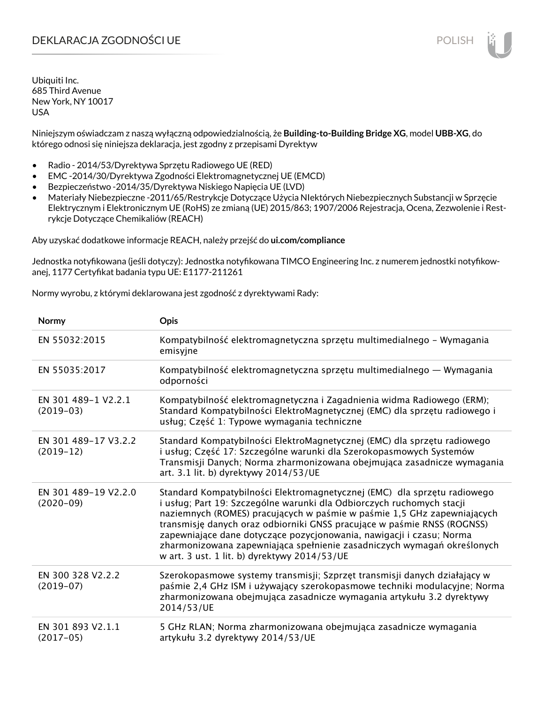## DEKLARACJA ZGODNOŚCI UE POLISH POLISH

Ubiquiti Inc. 685 Third Avenue New York, NY 10017 USA

Niniejszym oświadczam z naszą wyłączną odpowiedzialnością, że **Building-to-Building Bridge XG**, model **UBB-XG**, do którego odnosi się niniejsza deklaracja, jest zgodny z przepisami Dyrektyw

- Radio 2014/53/Dyrektywa Sprzętu Radiowego UE (RED)
- EMC -2014/30/Dyrektywa Zgodności Elektromagnetycznej UE (EMCD)
- Bezpieczeństwo -2014/35/Dyrektywa Niskiego Napięcia UE (LVD)
- Materiały Niebezpieczne -2011/65/Restrykcje Dotyczące Użycia NIektórych Niebezpiecznych Substancji w Sprzęcie Elektrycznym i Elektronicznym UE (RoHS) ze zmianą (UE) 2015/863; 1907/2006 Rejestracja, Ocena, Zezwolenie i Restrykcje Dotyczące Chemikaliów (REACH)

Aby uzyskać dodatkowe informacje REACH, należy przejść do **ui.com/compliance**

Jednostka notyfikowana (jeśli dotyczy): Jednostka notyfikowana TIMCO Engineering Inc. z numerem jednostki notyfikowanej, 1177 Certyfikat badania typu UE: E1177-211261

Normy wyrobu, z którymi deklarowana jest zgodność z dyrektywami Rady:

| Normy                               | Opis                                                                                                                                                                                                                                                                                                                                                                                                                                                                                                       |
|-------------------------------------|------------------------------------------------------------------------------------------------------------------------------------------------------------------------------------------------------------------------------------------------------------------------------------------------------------------------------------------------------------------------------------------------------------------------------------------------------------------------------------------------------------|
| EN 55032:2015                       | Kompatybilność elektromagnetyczna sprzętu multimedialnego – Wymagania<br>emisyjne                                                                                                                                                                                                                                                                                                                                                                                                                          |
| EN 55035:2017                       | Kompatybilność elektromagnetyczna sprzętu multimedialnego — Wymagania<br>odporności                                                                                                                                                                                                                                                                                                                                                                                                                        |
| EN 301 489-1 V2.2.1<br>$(2019-03)$  | Kompatybilność elektromagnetyczna i Zagadnienia widma Radiowego (ERM);<br>Standard Kompatybilności ElektroMagnetycznej (EMC) dla sprzętu radiowego i<br>usług; Część 1: Typowe wymagania techniczne                                                                                                                                                                                                                                                                                                        |
| EN 301 489-17 V3.2.2<br>$(2019-12)$ | Standard Kompatybilności ElektroMagnetycznej (EMC) dla sprzętu radiowego<br>i usług; Część 17: Szczególne warunki dla Szerokopasmowych Systemów<br>Transmisji Danych; Norma zharmonizowana obejmująca zasadnicze wymagania<br>art. 3.1 lit. b) dyrektywy 2014/53/UE                                                                                                                                                                                                                                        |
| EN 301 489-19 V2.2.0<br>$(2020-09)$ | Standard Kompatybilności Elektromagnetycznej (EMC) dla sprzętu radiowego<br>i usług; Part 19: Szczególne warunki dla Odbiorczych ruchomych stacji<br>naziemnych (ROMES) pracujących w paśmie w paśmie 1,5 GHz zapewniających<br>transmisję danych oraz odbiorniki GNSS pracujące w paśmie RNSS (ROGNSS)<br>zapewniające dane dotyczące pozycjonowania, nawigacji i czasu; Norma<br>zharmonizowana zapewniająca spełnienie zasadniczych wymagań określonych<br>w art. 3 ust. 1 lit. b) dyrektywy 2014/53/UE |
| EN 300 328 V2.2.2<br>$(2019-07)$    | Szerokopasmowe systemy transmisji; Szprzęt transmisji danych działający w<br>paśmie 2,4 GHz ISM i używający szerokopasmowe techniki modulacyjne; Norma<br>zharmonizowana obejmująca zasadnicze wymagania artykułu 3.2 dyrektywy<br>2014/53/UE                                                                                                                                                                                                                                                              |
| EN 301 893 V2.1.1<br>$(2017-05)$    | 5 GHz RLAN; Norma zharmonizowana obejmująca zasadnicze wymagania<br>artykułu 3.2 dyrektywy 2014/53/UE                                                                                                                                                                                                                                                                                                                                                                                                      |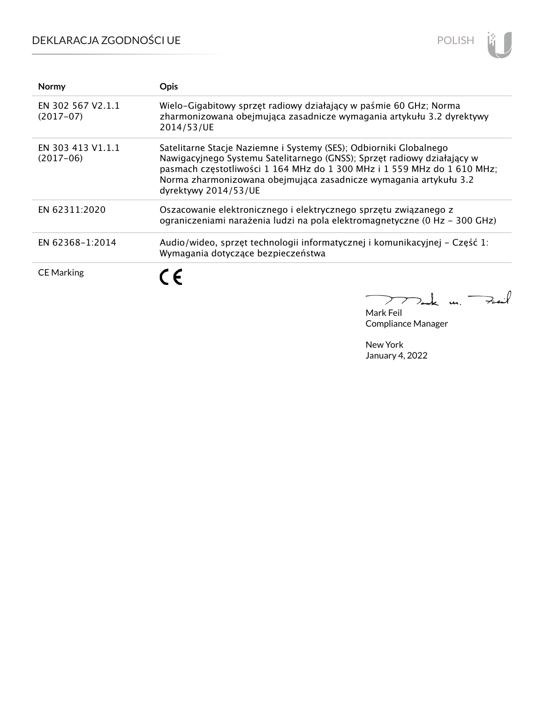# DEKLARACJA ZGODNOŚCI UE



| <b>Normy</b>                     | <b>Opis</b>                                                                                                                                                                                                                                                                                                           |
|----------------------------------|-----------------------------------------------------------------------------------------------------------------------------------------------------------------------------------------------------------------------------------------------------------------------------------------------------------------------|
| EN 302 567 V2.1.1<br>$(2017-07)$ | Wielo-Gigabitowy sprzęt radiowy działający w paśmie 60 GHz; Norma<br>zharmonizowana obejmująca zasadnicze wymagania artykułu 3.2 dyrektywy<br>2014/53/UE                                                                                                                                                              |
| EN 303 413 V1.1.1<br>$(2017-06)$ | Satelitarne Stacje Naziemne i Systemy (SES); Odbiorniki Globalnego<br>Nawigacyjnego Systemu Satelitarnego (GNSS); Sprzęt radiowy działający w<br>pasmach częstotliwości 1 164 MHz do 1 300 MHz i 1 559 MHz do 1 610 MHz;<br>Norma zharmonizowana obejmująca zasadnicze wymagania artykułu 3.2<br>dyrektywy 2014/53/UE |
| EN 62311:2020                    | Oszacowanie elektronicznego i elektrycznego sprzętu związanego z<br>ograniczeniami narażenia ludzi na pola elektromagnetyczne (0 Hz - 300 GHz)                                                                                                                                                                        |
| EN 62368-1:2014                  | Audio/wideo, sprzęt technologii informatycznej i komunikacyjnej – Część 1:<br>Wymagania dotyczące bezpieczeństwa                                                                                                                                                                                                      |
| <b>CE Marking</b>                | C E                                                                                                                                                                                                                                                                                                                   |

Fail Tak m.  $\sum$ 

Mark Feil Compliance Manager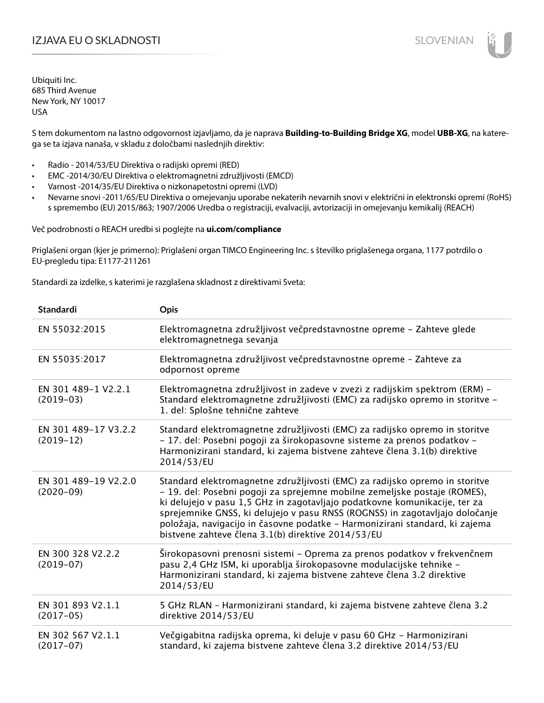## IZJAVA EU O SKLADNOSTI SLOVENIAN

Ubiquiti Inc. 685 Third Avenue New York, NY 10017 USA

S tem dokumentom na lastno odgovornost izjavljamo, da je naprava **Building-to-Building Bridge XG**, model **UBB-XG**, na katerega se ta izjava nanaša, v skladu z določbami naslednjih direktiv:

- Radio 2014/53/EU Direktiva o radijski opremi (RED)
- EMC -2014/30/EU Direktiva o elektromagnetni združljivosti (EMCD)
- Varnost -2014/35/EU Direktiva o nizkonapetostni opremi (LVD)
- Nevarne snovi -2011/65/EU Direktiva o omejevanju uporabe nekaterih nevarnih snovi v električni in elektronski opremi (RoHS) s spremembo (EU) 2015/863; 1907/2006 Uredba o registraciji, evalvaciji, avtorizaciji in omejevanju kemikalij (REACH)

Več podrobnosti o REACH uredbi si poglejte na **ui.com/compliance**

Priglašeni organ (kjer je primerno): Priglašeni organ TIMCO Engineering Inc. s številko priglašenega organa, 1177 potrdilo o EU-pregledu tipa: E1177-211261

Standardi za izdelke, s katerimi je razglašena skladnost z direktivami Sveta:

| <b>Standardi</b>                    | <b>Opis</b>                                                                                                                                                                                                                                                                                                                                                                                                                                                 |
|-------------------------------------|-------------------------------------------------------------------------------------------------------------------------------------------------------------------------------------------------------------------------------------------------------------------------------------------------------------------------------------------------------------------------------------------------------------------------------------------------------------|
| EN 55032:2015                       | Elektromagnetna združljivost večpredstavnostne opreme - Zahteve glede<br>elektromagnetnega sevanja                                                                                                                                                                                                                                                                                                                                                          |
| EN 55035:2017                       | Elektromagnetna združljivost večpredstavnostne opreme - Zahteve za<br>odpornost opreme                                                                                                                                                                                                                                                                                                                                                                      |
| EN 301 489-1 V2.2.1<br>$(2019-03)$  | Elektromagnetna združljivost in zadeve v zvezi z radijskim spektrom (ERM) -<br>Standard elektromagnetne združljivosti (EMC) za radijsko opremo in storitve -<br>1. del: Splošne tehnične zahteve                                                                                                                                                                                                                                                            |
| EN 301 489-17 V3.2.2<br>$(2019-12)$ | Standard elektromagnetne združljivosti (EMC) za radijsko opremo in storitve<br>- 17. del: Posebni pogoji za širokopasovne sisteme za prenos podatkov -<br>Harmonizirani standard, ki zajema bistvene zahteve člena 3.1(b) direktive<br>2014/53/EU                                                                                                                                                                                                           |
| EN 301 489-19 V2.2.0<br>$(2020-09)$ | Standard elektromagnetne združljivosti (EMC) za radijsko opremo in storitve<br>- 19. del: Posebni pogoji za sprejemne mobilne zemeljske postaje (ROMES),<br>ki delujejo v pasu 1,5 GHz in zagotavljajo podatkovne komunikacije, ter za<br>sprejemnike GNSS, ki delujejo v pasu RNSS (ROGNSS) in zagotavljajo določanje<br>položaja, navigacijo in časovne podatke - Harmonizirani standard, ki zajema<br>bistvene zahteve člena 3.1(b) direktive 2014/53/EU |
| EN 300 328 V2.2.2<br>$(2019-07)$    | Širokopasovni prenosni sistemi – Oprema za prenos podatkov v frekvenčnem<br>pasu 2,4 GHz ISM, ki uporablja širokopasovne modulacijske tehnike -<br>Harmonizirani standard, ki zajema bistvene zahteve člena 3.2 direktive<br>2014/53/EU                                                                                                                                                                                                                     |
| EN 301 893 V2.1.1<br>$(2017-05)$    | 5 GHz RLAN - Harmonizirani standard, ki zajema bistvene zahteve člena 3.2<br>direktive 2014/53/EU                                                                                                                                                                                                                                                                                                                                                           |
| EN 302 567 V2.1.1<br>$(2017-07)$    | Večgigabitna radijska oprema, ki deluje v pasu 60 GHz - Harmonizirani<br>standard, ki zajema bistvene zahteve člena 3.2 direktive 2014/53/EU                                                                                                                                                                                                                                                                                                                |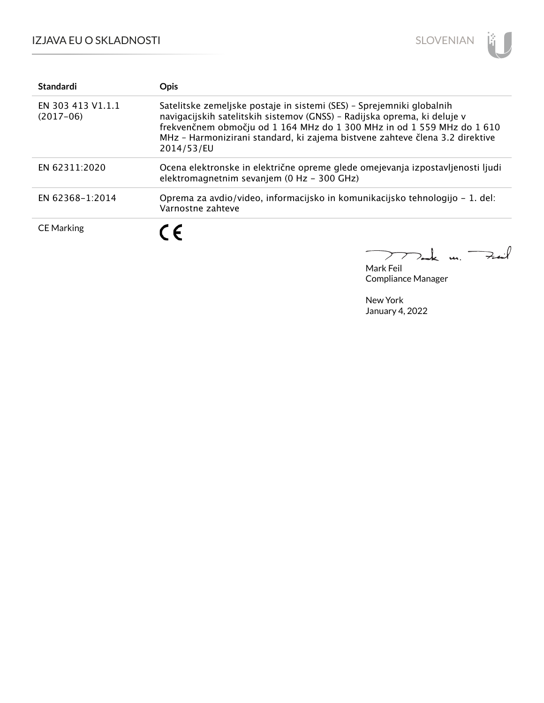

| <b>Standardi</b>                 | <b>Opis</b>                                                                                                                                                                                                                                                                                                               |
|----------------------------------|---------------------------------------------------------------------------------------------------------------------------------------------------------------------------------------------------------------------------------------------------------------------------------------------------------------------------|
| EN 303 413 V1.1.1<br>$(2017-06)$ | Satelitske zemeljske postaje in sistemi (SES) - Sprejemniki globalnih<br>navigacijskih satelitskih sistemov (GNSS) - Radijska oprema, ki deluje v<br>frekvenčnem območju od 1 164 MHz do 1 300 MHz in od 1 559 MHz do 1 610<br>MHz - Harmonizirani standard, ki zajema bistvene zahteve člena 3.2 direktive<br>2014/53/EU |
| EN 62311:2020                    | Ocena elektronske in električne opreme glede omejevanja izpostavljenosti ljudi<br>elektromagnetnim sevanjem (0 Hz - 300 GHz)                                                                                                                                                                                              |
| EN 62368-1:2014                  | Oprema za avdio/video, informacijsko in komunikacijsko tehnologijo – 1. del:<br>Varnostne zahteve                                                                                                                                                                                                                         |
| <b>CE Marking</b>                | $\epsilon$                                                                                                                                                                                                                                                                                                                |

Mark Feil Compliance Manager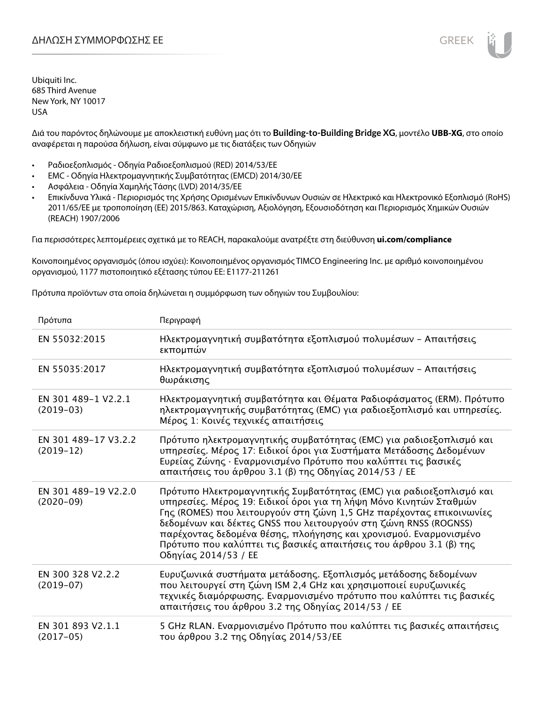

Διά του παρόντος δηλώνουμε με αποκλειστική ευθύνη μας ότι το **Building-to-Building Bridge XG**, μοντέλο **UBB-XG**, στο οποίο αναφέρεται η παρούσα δήλωση, είναι σύμφωνο με τις διατάξεις των Οδηγιών

- Ραδιοεξοπλισμός Οδηγία Ραδιοεξοπλισμού (RED) 2014/53/ΕΕ
- EMC Οδηγία Ηλεκτρομαγνητικής Συμβατότητας (EMCD) 2014/30/ΕΕ
- Ασφάλεια Οδηγία Χαμηλής Τάσης (LVD) 2014/35/ΕΕ
- Επικίνδυνα Υλικά Περιορισμός της Χρήσης Ορισμένων Επικίνδυνων Ουσιών σε Ηλεκτρικό και Ηλεκτρονικό Εξοπλισμό (RoHS) 2011/65/ΕΕ με τροποποίηση (ΕΕ) 2015/863. Καταχώριση, Αξιολόγηση, Εξουσιοδότηση και Περιορισμός Χημικών Ουσιών (REACH) 1907/2006

Για περισσότερες λεπτομέρειες σχετικά με το REACH, παρακαλούμε ανατρέξτε στη διεύθυνση **ui.com/compliance**

Κοινοποιημένος οργανισμός (όπου ισχύει): Κοινοποιημένος οργανισμός TIMCO Engineering Inc. με αριθμό κοινοποιημένου οργανισμού, 1177 πιστοποιητικό εξέτασης τύπου ΕΕ: E1177-211261

Πρότυπα προϊόντων στα οποία δηλώνεται η συμμόρφωση των οδηγιών του Συμβουλίου:

| Πρότυπα                             | Περιγραφή                                                                                                                                                                                                                                                                                                                                                                                                                                                |
|-------------------------------------|----------------------------------------------------------------------------------------------------------------------------------------------------------------------------------------------------------------------------------------------------------------------------------------------------------------------------------------------------------------------------------------------------------------------------------------------------------|
| EN 55032:2015                       | Ηλεκτρομαγνητική συμβατότητα εξοπλισμού πολυμέσων - Απαιτήσεις<br>εκπομπών                                                                                                                                                                                                                                                                                                                                                                               |
| EN 55035:2017                       | Ηλεκτρομαγνητική συμβατότητα εξοπλισμού πολυμέσων - Απαιτήσεις<br>θωράκισης                                                                                                                                                                                                                                                                                                                                                                              |
| EN 301 489-1 V2.2.1<br>$(2019-03)$  | Ηλεκτρομαγνητική συμβατότητα και Θέματα Ραδιοφάσματος (ERM). Πρότυπο<br>ηλεκτρομαγνητικής συμβατότητας (ΕΜC) για ραδιοεξοπλισμό και υπηρεσίες.<br>Μέρος 1: Κοινές τεχνικές απαιτήσεις                                                                                                                                                                                                                                                                    |
| EN 301 489-17 V3.2.2<br>$(2019-12)$ | Πρότυπο ηλεκτρομαγνητικής συμβατότητας (ΕΜC) για ραδιοεξοπλισμό και<br>υπηρεσίες. Μέρος 17: Ειδικοί όροι για Συστήματα Μετάδοσης Δεδομένων<br>Ευρείας Ζώνης · Εναρμονισμένο Πρότυπο που καλύπτει τις βασικές<br>απαιτήσεις του άρθρου 3.1 (β) της Οδηγίας 2014/53 / ΕΕ                                                                                                                                                                                   |
| EN 301 489-19 V2.2.0<br>$(2020-09)$ | Πρότυπο Ηλεκτρομαγνητικής Συμβατότητας (ΕΜC) για ραδιοεξοπλισμό και<br>υπηρεσίες. Μέρος 19: Ειδικοί όροι για τη λήψη Μόνο Κινητών Σταθμών<br>Γης (ROMES) που λειτουργούν στη ζώνη 1,5 GHz παρέχοντας επικοινωνίες<br>δεδομένων και δέκτες GNSS που λειτουργούν στη ζώνη RNSS (ROGNSS)<br>παρέχοντας δεδομένα θέσης, πλοήγησης και χρονισμού. Εναρμονισμένο<br>Πρότυπο που καλύπτει τις βασικές απαιτήσεις του άρθρου 3.1 (β) της<br>Οδηγίας 2014/53 / ΕΕ |
| EN 300 328 V2.2.2<br>$(2019-07)$    | Ευρυζωνικά συστήματα μετάδοσης. Εξοπλισμός μετάδοσης δεδομένων<br>που λειτουργεί στη ζώνη ISM 2,4 GHz και χρησιμοποιεί ευρυζωνικές<br>τεχνικές διαμόρφωσης. Εναρμονισμένο πρότυπο που καλύπτει τις βασικές<br>απαιτήσεις του άρθρου 3.2 της Οδηγίας 2014/53 / ΕΕ                                                                                                                                                                                         |
| EN 301 893 V2.1.1<br>$(2017-05)$    | 5 GHz RLAN. Εναρμονισμένο Πρότυπο που καλύπτει τις βασικές απαιτήσεις<br>του άρθρου 3.2 της Οδηγίας 2014/53/ΕΕ                                                                                                                                                                                                                                                                                                                                           |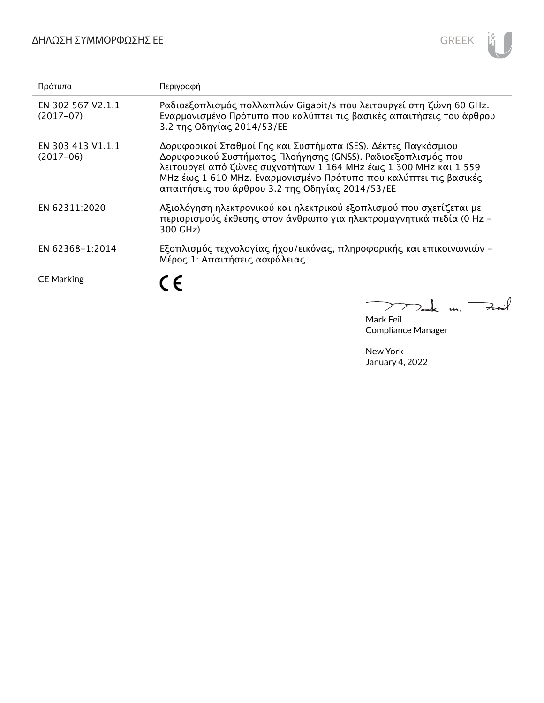## ΔΗΛΩΣΗ ΣΥΜΜΟΡΦΩΣΗΣ ΕΕ



| Πρότυπα                          | Περιγραφή                                                                                                                                                                                                                                                                                                                    |
|----------------------------------|------------------------------------------------------------------------------------------------------------------------------------------------------------------------------------------------------------------------------------------------------------------------------------------------------------------------------|
| EN 302 567 V2.1.1<br>$(2017-07)$ | Ραδιοεξοπλισμός πολλαπλών Gigabit/s που λειτουργεί στη ζώνη 60 GHz.<br>Εναρμονισμένο Πρότυπο που καλύπτει τις βασικές απαιτήσεις του άρθρου<br>3.2 της Οδηγίας 2014/53/ΕΕ                                                                                                                                                    |
| EN 303 413 V1.1.1<br>$(2017-06)$ | Δορυφορικοί Σταθμοί Γης και Συστήματα (SES). Δέκτες Παγκόσμιου<br>Δορυφορικού Συστήματος Πλοήγησης (GNSS). Ραδιοεξοπλισμός που<br>λειτουργεί από ζώνες συχνοτήτων 1 164 MHz έως 1 300 MHz και 1 559<br>MHz έως 1 610 MHz. Εναρμονισμένο Πρότυπο που καλύπτει τις βασικές<br>απαιτήσεις του άρθρου 3.2 της Οδηγίας 2014/53/ΕΕ |
| EN 62311:2020                    | Αξιολόγηση ηλεκτρονικού και ηλεκτρικού εξοπλισμού που σχετίζεται με<br>περιορισμούς έκθεσης στον άνθρωπο για ηλεκτρομαγνητικά πεδία (0 Hz -<br>300 GHz)                                                                                                                                                                      |
| EN 62368-1:2014                  | Εξοπλισμός τεχνολογίας ήχου/εικόνας, πληροφορικής και επικοινωνιών -<br>Μέρος 1: Απαιτήσεις ασφάλειας                                                                                                                                                                                                                        |
| <b>CE Marking</b>                | €                                                                                                                                                                                                                                                                                                                            |

 $k$  un. Fail  $\sum$ 7

Mark Feil Compliance Manager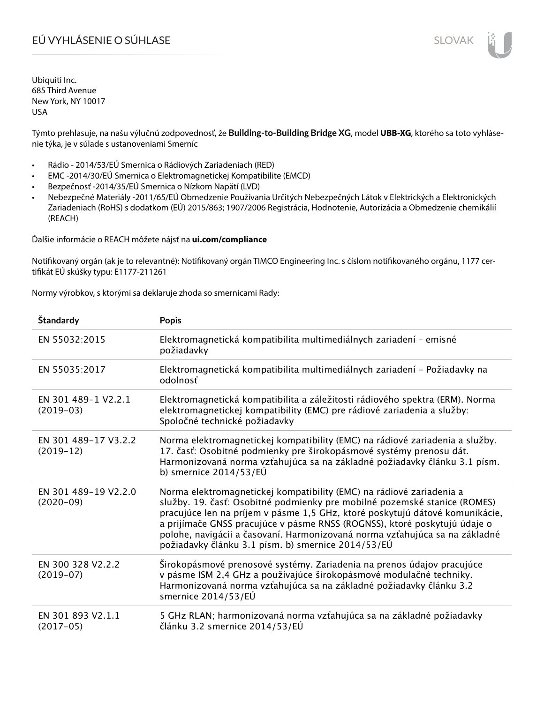Týmto prehlasuje, na našu výlučnú zodpovednosť, že **Building-to-Building Bridge XG**, model **UBB-XG**, ktorého sa toto vyhlásenie týka, je v súlade s ustanoveniami Smerníc

- Rádio 2014/53/EÚ Smernica o Rádiových Zariadeniach (RED)
- EMC -2014/30/EÚ Smernica o Elektromagnetickej Kompatibilite (EMCD)
- Bezpečnosť -2014/35/EÚ Smernica o Nízkom Napätí (LVD)
- Nebezpečné Materiály -2011/65/EÚ Obmedzenie Používania Určitých Nebezpečných Látok v Elektrických a Elektronických Zariadeniach (RoHS) s dodatkom (EÚ) 2015/863; 1907/2006 Registrácia, Hodnotenie, Autorizácia a Obmedzenie chemikálií (REACH)

Ďalšie informácie o REACH môžete nájsť na **ui.com/compliance**

Notifikovaný orgán (ak je to relevantné): Notifikovaný orgán TIMCO Engineering Inc. s číslom notifikovaného orgánu, 1177 certifikát EÚ skúšky typu: E1177-211261

Normy výrobkov, s ktorými sa deklaruje zhoda so smernicami Rady:

| Štandardy                           | <b>Popis</b>                                                                                                                                                                                                                                                                                                                                                                                                                                        |
|-------------------------------------|-----------------------------------------------------------------------------------------------------------------------------------------------------------------------------------------------------------------------------------------------------------------------------------------------------------------------------------------------------------------------------------------------------------------------------------------------------|
| EN 55032:2015                       | Elektromagnetická kompatibilita multimediálnych zariadení - emisné<br>požiadavky                                                                                                                                                                                                                                                                                                                                                                    |
| EN 55035:2017                       | Elektromagnetická kompatibilita multimediálnych zariadení - Požiadavky na<br>odolnosť                                                                                                                                                                                                                                                                                                                                                               |
| EN 301 489-1 V2.2.1<br>$(2019-03)$  | Elektromagnetická kompatibilita a záležitosti rádiového spektra (ERM). Norma<br>elektromagnetickej kompatibility (EMC) pre rádiové zariadenia a služby:<br>Spoločné technické požiadavky                                                                                                                                                                                                                                                            |
| EN 301 489-17 V3.2.2<br>$(2019-12)$ | Norma elektromagnetickej kompatibility (EMC) na rádiové zariadenia a služby.<br>17. časť: Osobitné podmienky pre širokopásmové systémy prenosu dát.<br>Harmonizovaná norma vzťahujúca sa na základné požiadavky článku 3.1 písm.<br>b) smernice $2014/53/EU$                                                                                                                                                                                        |
| EN 301 489-19 V2.2.0<br>$(2020-09)$ | Norma elektromagnetickej kompatibility (EMC) na rádiové zariadenia a<br>služby. 19. časť: Osobitné podmienky pre mobilné pozemské stanice (ROMES)<br>pracujúce len na príjem v pásme 1,5 GHz, ktoré poskytujú dátové komunikácie,<br>a prijímače GNSS pracujúce v pásme RNSS (ROGNSS), ktoré poskytujú údaje o<br>polohe, navigácii a časovaní. Harmonizovaná norma vzťahujúca sa na základné<br>požiadavky článku 3.1 písm. b) smernice 2014/53/EÚ |
| EN 300 328 V2.2.2<br>$(2019-07)$    | Širokopásmové prenosové systémy. Zariadenia na prenos údajov pracujúce<br>v pásme ISM 2,4 GHz a používajúce širokopásmové modulačné techniky.<br>Harmonizovaná norma vzťahujúca sa na základné požiadavky článku 3.2<br>smernice 2014/53/EÚ                                                                                                                                                                                                         |
| EN 301 893 V2.1.1<br>$(2017-05)$    | 5 GHz RLAN; harmonizovaná norma vzťahujúca sa na základné požiadavky<br>článku 3.2 smernice 2014/53/EÚ                                                                                                                                                                                                                                                                                                                                              |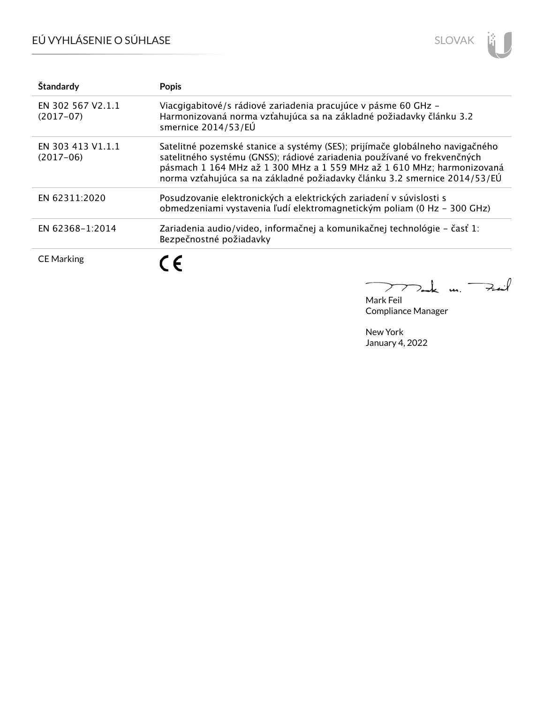# EÚ VYHLÁSENIE O SÚHLASE



| Štandardy                        | <b>Popis</b>                                                                                                                                                                                                                                                                                                    |
|----------------------------------|-----------------------------------------------------------------------------------------------------------------------------------------------------------------------------------------------------------------------------------------------------------------------------------------------------------------|
| EN 302 567 V2.1.1<br>$(2017-07)$ | Viacgigabitové/s rádiové zariadenia pracujúce v pásme 60 GHz -<br>Harmonizovaná norma vzťahujúca sa na základné požiadavky článku 3.2<br>smernice 2014/53/EÚ                                                                                                                                                    |
| EN 303 413 V1.1.1<br>$(2017-06)$ | Satelitné pozemské stanice a systémy (SES); prijímače globálneho navigačného<br>satelitného systému (GNSS); rádiové zariadenia používané vo frekvenčných<br>pásmach 1 164 MHz až 1 300 MHz a 1 559 MHz až 1 610 MHz; harmonizovaná<br>norma vzťahujúca sa na základné požiadavky článku 3.2 smernice 2014/53/EÚ |
| EN 62311:2020                    | Posudzovanie elektronických a elektrických zariadení v súvislosti s<br>obmedzeniami vystavenia ľudí elektromagnetickým poliam (0 Hz - 300 GHz)                                                                                                                                                                  |
| EN 62368-1:2014                  | Zariadenia audio/video, informačnej a komunikačnej technológie - časť 1:<br>Bezpečnostné požiadavky                                                                                                                                                                                                             |
| <b>CE Marking</b>                | $\epsilon$                                                                                                                                                                                                                                                                                                      |

m. Fail Σ

Mark Feil Compliance Manager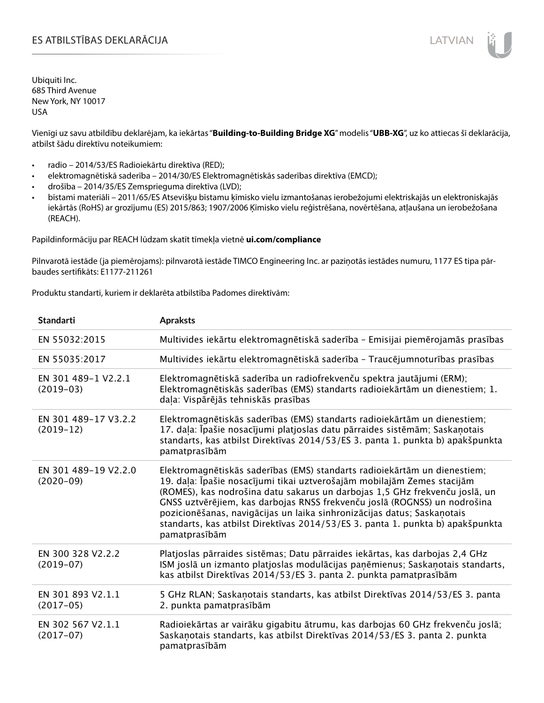## ES ATBILSTĪBAS DEKLARĀCIJA VALODAS ARĀ ATBILSTĪBAS DEKLARĀCIJA VALODAS ARĀ ATBILSTĪBAS DEKLARĀCIJA VALODAS ARĀ

Ubiquiti Inc. 685 Third Avenue New York, NY 10017 USA

Vienīgi uz savu atbildību deklarējam, ka iekārtas "**Building-to-Building Bridge XG**" modelis "**UBB-XG**", uz ko attiecas šī deklarācija, atbilst šādu direktīvu noteikumiem:

- radio 2014/53/ES Radioiekārtu direktīva (RED);
- elektromagnētiskā saderība 2014/30/ES Elektromagnētiskās saderības direktīva (EMCD);
- drošība 2014/35/ES Zemsprieguma direktīva (LVD);
- bīstami materiāli 2011/65/ES Atsevišķu bīstamu ķīmisko vielu izmantošanas ierobežojumi elektriskajās un elektroniskajās iekārtās (RoHS) ar grozījumu (ES) 2015/863; 1907/2006 Ķīmisko vielu reģistrēšana, novērtēšana, atļaušana un ierobežošana (REACH).

Papildinformāciju par REACH lūdzam skatīt tīmekļa vietnē **ui.com/compliance**

Pilnvarotā iestāde (ja piemērojams): pilnvarotā iestāde TIMCO Engineering Inc. ar paziņotās iestādes numuru, 1177 ES tipa pārbaudes sertifikāts: E1177-211261

Produktu standarti, kuriem ir deklarēta atbilstība Padomes direktīvām:

| <b>Standarti</b>                    | <b>Apraksts</b>                                                                                                                                                                                                                                                                                                                                                                                                                                                                                |
|-------------------------------------|------------------------------------------------------------------------------------------------------------------------------------------------------------------------------------------------------------------------------------------------------------------------------------------------------------------------------------------------------------------------------------------------------------------------------------------------------------------------------------------------|
| EN 55032:2015                       | Multivides iekārtu elektromagnētiskā saderība - Emisijai piemērojamās prasības                                                                                                                                                                                                                                                                                                                                                                                                                 |
| EN 55035:2017                       | Multivides iekārtu elektromagnētiskā saderība - Traucējumnoturības prasības                                                                                                                                                                                                                                                                                                                                                                                                                    |
| EN 301 489-1 V2.2.1<br>$(2019-03)$  | Elektromagnētiskā saderība un radiofrekvenču spektra jautājumi (ERM);<br>Elektromagnētiskās saderības (EMS) standarts radioiekārtām un dienestiem; 1.<br>daļa: Vispārējās tehniskās prasības                                                                                                                                                                                                                                                                                                   |
| EN 301 489-17 V3.2.2<br>$(2019-12)$ | Elektromagnētiskās saderības (EMS) standarts radioiekārtām un dienestiem;<br>17. daļa: Īpašie nosacījumi platjoslas datu pārraides sistēmām; Saskaņotais<br>standarts, kas atbilst Direktīvas 2014/53/ES 3. panta 1. punkta b) apakšpunkta<br>pamatprasībām                                                                                                                                                                                                                                    |
| EN 301 489-19 V2.2.0<br>$(2020-09)$ | Elektromagnētiskās saderības (EMS) standarts radioiekārtām un dienestiem;<br>19. daļa: Īpašie nosacījumi tikai uztverošajām mobilajām Zemes stacijām<br>(ROMES), kas nodrošina datu sakarus un darbojas 1,5 GHz frekvenču joslā, un<br>GNSS uztvērējiem, kas darbojas RNSS frekvenču joslā (ROGNSS) un nodrošina<br>pozicionēšanas, navigācijas un laika sinhronizācijas datus; Saskaņotais<br>standarts, kas atbilst Direktīvas 2014/53/ES 3. panta 1. punkta b) apakšpunkta<br>pamatprasībām |
| EN 300 328 V2.2.2<br>$(2019-07)$    | Platjoslas pārraides sistēmas; Datu pārraides iekārtas, kas darbojas 2,4 GHz<br>ISM joslā un izmanto platjoslas modulācijas paņēmienus; Saskaņotais standarts,<br>kas atbilst Direktīvas 2014/53/ES 3. panta 2. punkta pamatprasībām                                                                                                                                                                                                                                                           |
| EN 301 893 V2.1.1<br>$(2017-05)$    | 5 GHz RLAN; Saskaņotais standarts, kas atbilst Direktīvas 2014/53/ES 3. panta<br>2. punkta pamatprasībām                                                                                                                                                                                                                                                                                                                                                                                       |
| EN 302 567 V2.1.1<br>$(2017-07)$    | Radioiekārtas ar vairāku gigabitu ātrumu, kas darbojas 60 GHz frekvenču joslā;<br>Saskaņotais standarts, kas atbilst Direktīvas 2014/53/ES 3. panta 2. punkta<br>pamatprasībām                                                                                                                                                                                                                                                                                                                 |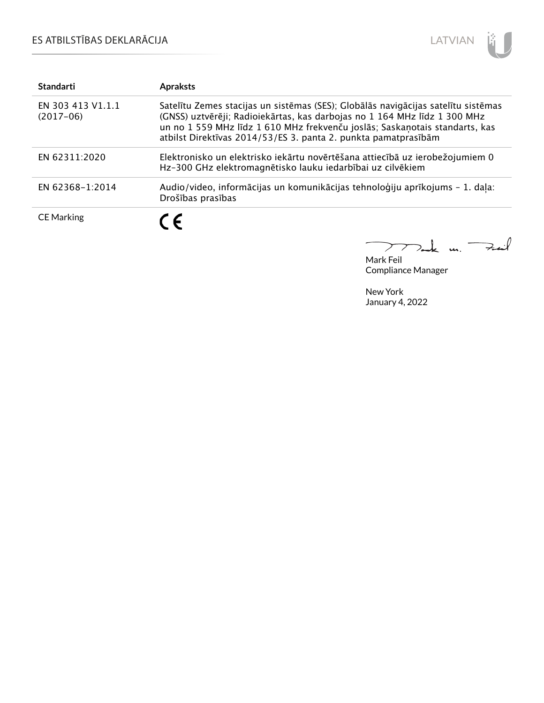# ES ATBILSTĪBAS DEKLARĀCIJA



| <b>Standarti</b>                 | <b>Apraksts</b>                                                                                                                                                                                                                                                                                                 |
|----------------------------------|-----------------------------------------------------------------------------------------------------------------------------------------------------------------------------------------------------------------------------------------------------------------------------------------------------------------|
| EN 303 413 V1.1.1<br>$(2017-06)$ | Satelītu Zemes stacijas un sistēmas (SES); Globālās navigācijas satelītu sistēmas<br>(GNSS) uztvērēji; Radioiekārtas, kas darbojas no 1 164 MHz līdz 1 300 MHz<br>un no 1 559 MHz līdz 1 610 MHz frekvenču joslās; Saskaņotais standarts, kas<br>atbilst Direktīvas 2014/53/ES 3. panta 2. punkta pamatprasībām |
| EN 62311:2020                    | Elektronisko un elektrisko iekārtu novērtēšana attiecībā uz ierobežojumiem 0<br>Hz-300 GHz elektromagnētisko lauku iedarbībai uz cilvēkiem                                                                                                                                                                      |
| EN 62368-1:2014                  | Audio/video, informācijas un komunikācijas tehnoloģiju aprīkojums - 1. daļa:<br>Drošības prasības                                                                                                                                                                                                               |
| <b>CE Marking</b>                | C E                                                                                                                                                                                                                                                                                                             |

كمنعة  $\frac{1}{2}$  $\geq$ 

Mark Feil Compliance Manager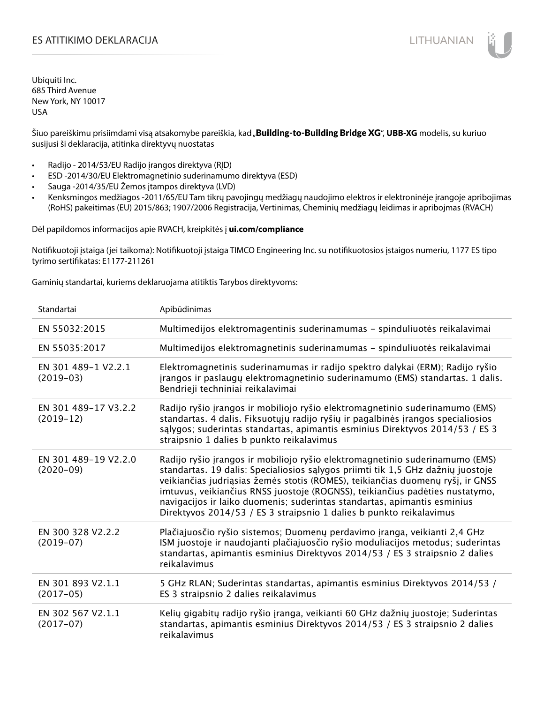Šiuo pareiškimu prisiimdami visą atsakomybe pareiškia, kad "**Building-to-Building Bridge XG**", UBB-XG modelis, su kuriuo susijusi ši deklaracija, atitinka direktyvų nuostatas

- Radijo 2014/53/EU Radijo įrangos direktyva (RĮD)
- ESD -2014/30/EU Elektromagnetinio suderinamumo direktyva (ESD)
- Sauga -2014/35/EU Žemos įtampos direktyva (LVD)
- Kenksmingos medžiagos -2011/65/EU Tam tikrų pavojingų medžiagų naudojimo elektros ir elektroninėje įrangoje apribojimas (RoHS) pakeitimas (EU) 2015/863; 1907/2006 Registracija, Vertinimas, Cheminių medžiagų leidimas ir apribojmas (RVACH)

Dėl papildomos informacijos apie RVACH, kreipkitės į **ui.com/compliance**

Notifikuotoji įstaiga (jei taikoma): Notifikuotoji įstaiga TIMCO Engineering Inc. su notifikuotosios įstaigos numeriu, 1177 ES tipo tyrimo sertifikatas: E1177-211261

Gaminių standartai, kuriems deklaruojama atitiktis Tarybos direktyvoms:

| Standartai                          | Apibūdinimas                                                                                                                                                                                                                                                                                                                                                                                                                                                                         |
|-------------------------------------|--------------------------------------------------------------------------------------------------------------------------------------------------------------------------------------------------------------------------------------------------------------------------------------------------------------------------------------------------------------------------------------------------------------------------------------------------------------------------------------|
| EN 55032:2015                       | Multimedijos elektromagentinis suderinamumas - spinduliuotės reikalavimai                                                                                                                                                                                                                                                                                                                                                                                                            |
| EN 55035:2017                       | Multimedijos elektromagnetinis suderinamumas - spinduliuotės reikalavimai                                                                                                                                                                                                                                                                                                                                                                                                            |
| EN 301 489-1 V2.2.1<br>$(2019-03)$  | Elektromagnetinis suderinamumas ir radijo spektro dalykai (ERM); Radijo ryšio<br>jrangos ir paslaugų elektromagnetinio suderinamumo (EMS) standartas. 1 dalis.<br>Bendrieji techniniai reikalavimai                                                                                                                                                                                                                                                                                  |
| EN 301 489-17 V3.2.2<br>$(2019-12)$ | Radijo ryšio įrangos ir mobiliojo ryšio elektromagnetinio suderinamumo (EMS)<br>standartas. 4 dalis. Fiksuotųjų radijo ryšių ir pagalbinės įrangos specialiosios<br>salygos; suderintas standartas, apimantis esminius Direktyvos 2014/53 / ES 3<br>straipsnio 1 dalies b punkto reikalavimus                                                                                                                                                                                        |
| EN 301 489-19 V2.2.0<br>$(2020-09)$ | Radijo ryšio įrangos ir mobiliojo ryšio elektromagnetinio suderinamumo (EMS)<br>standartas. 19 dalis: Specialiosios sąlygos priimti tik 1,5 GHz dažnių juostoje<br>veikiančias judriąsias žemės stotis (ROMES), teikiančias duomenų ryšį, ir GNSS<br>imtuvus, veikiančius RNSS juostoje (ROGNSS), teikiančius padėties nustatymo,<br>navigacijos ir laiko duomenis; suderintas standartas, apimantis esminius<br>Direktyvos 2014/53 / ES 3 straipsnio 1 dalies b punkto reikalavimus |
| EN 300 328 V2.2.2<br>$(2019-07)$    | Plačiajuosčio ryšio sistemos; Duomenų perdavimo įranga, veikianti 2,4 GHz<br>ISM juostoje ir naudojanti plačiajuosčio ryšio moduliacijos metodus; suderintas<br>standartas, apimantis esminius Direktyvos 2014/53 / ES 3 straipsnio 2 dalies<br>reikalavimus                                                                                                                                                                                                                         |
| EN 301 893 V2.1.1<br>$(2017-05)$    | 5 GHz RLAN; Suderintas standartas, apimantis esminius Direktyvos 2014/53 /<br>ES 3 straipsnio 2 dalies reikalavimus                                                                                                                                                                                                                                                                                                                                                                  |
| EN 302 567 V2.1.1<br>$(2017-07)$    | Kelių gigabitų radijo ryšio įranga, veikianti 60 GHz dažnių juostoje; Suderintas<br>standartas, apimantis esminius Direktyvos 2014/53 / ES 3 straipsnio 2 dalies<br>reikalavimus                                                                                                                                                                                                                                                                                                     |